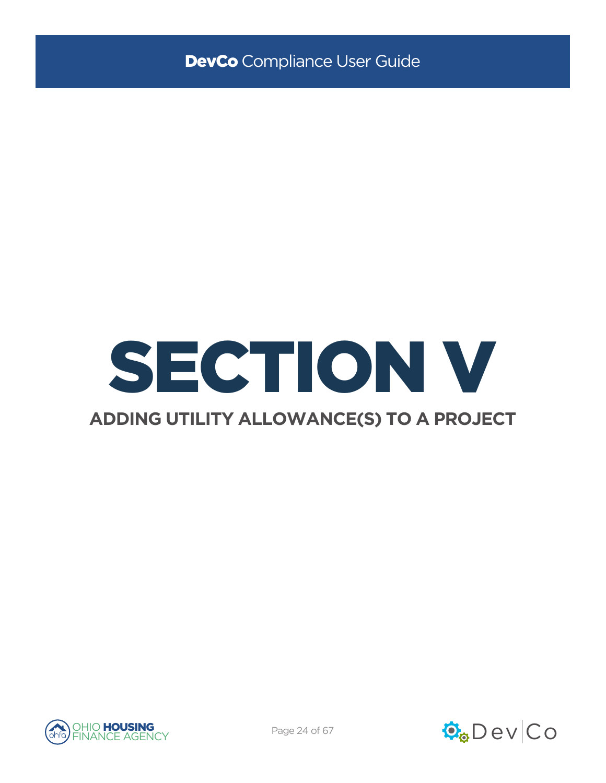

# **ADDING UTILITY ALLOWANCE(S) TO A PROJECT**



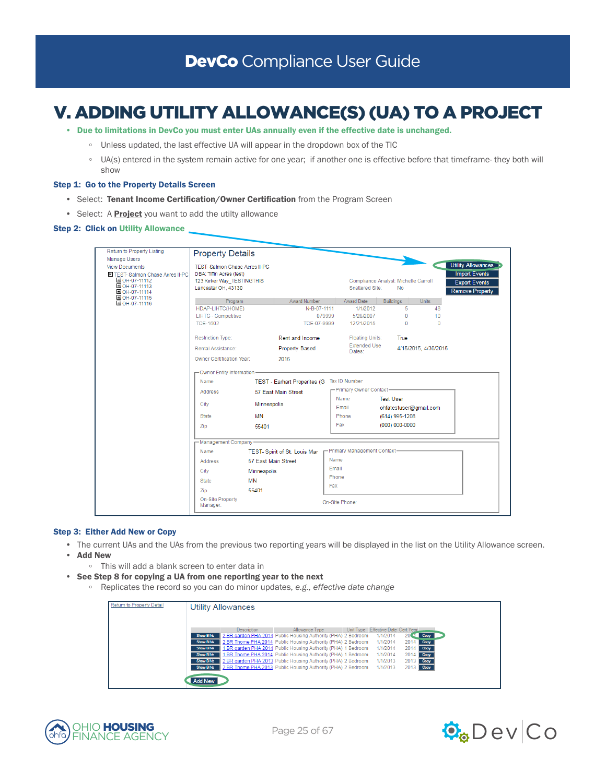# V. ADDING UTILITY ALLOWANCE(S) (UA) TO A PROJECT

- Due to limitations in DevCo you must enter UAs annually even if the effective date is unchanged.
	- Unless updated, the last effective UA will appear in the dropdown box of the TIC
	- UA(s) entered in the system remain active for one year; if another one is effective before that timeframe- they both will show

# Step 1: Go to the Property Details Screen

- Select: Tenant Income Certification/Owner Certification from the Program Screen
- Select: A **Project** you want to add the utilty allowance

# **Step 2: Click on Utility Allowance**

| Return to Property Listing      | <b>Property Details</b>       |                     |                                      |        |                               |                                      |                      |                           |
|---------------------------------|-------------------------------|---------------------|--------------------------------------|--------|-------------------------------|--------------------------------------|----------------------|---------------------------|
| <b>Manage Users</b>             |                               |                     |                                      |        |                               |                                      |                      |                           |
| <b>View Documents</b>           | TEST-Salmon Chase Acres II-PC |                     |                                      |        |                               |                                      |                      | <b>Utility Allowances</b> |
| E TEST-Salmon Chase Acres II-PC | DBA: Tiffin Acres (test)      |                     |                                      |        |                               |                                      |                      | <b>Import Events</b>      |
| OH-07-11112<br>DOH-07-11113     | 123 Kirker Way_TESTINGTHIS    |                     |                                      |        |                               | Compliance Analyst: Michelle Carroll |                      | <b>Export Events</b>      |
| OH-07-11114                     | Lancaster OH, 43130           |                     |                                      |        | Scattered Site:               | <b>No</b>                            |                      | <b>Remove Property</b>    |
| OH-07-11115                     | Program                       |                     | Award Number                         |        | Award Date                    | <b>Buildings</b>                     | <b>Units</b>         |                           |
| OH-07-11116                     | HDAP-LIHTC(HOME)              |                     | N-B-07-1111                          |        | 1/1/2012                      | 5                                    | 48                   |                           |
|                                 | <b>LIHTC - Competitive</b>    |                     |                                      | 079999 | 5/28/2007                     | $\mathbf{0}$                         | 10                   |                           |
|                                 | <b>TCE-1602</b>               |                     | TCE-07-9999                          |        | 12/21/2015                    | $\Omega$                             | $\Omega$             |                           |
|                                 |                               |                     |                                      |        |                               |                                      |                      |                           |
|                                 | Restriction Type:             |                     | Rent and Income                      |        | <b>Floating Units:</b>        | True                                 |                      |                           |
|                                 | Rental Assistance:            |                     | <b>Property Based</b>                |        | <b>Extended Use</b><br>Dates: |                                      | 4/15/2015, 4/30/2015 |                           |
|                                 | Owner Certification Year:     |                     | 2016                                 |        |                               |                                      |                      |                           |
|                                 | -Owner Entity Information     |                     |                                      |        |                               |                                      |                      |                           |
|                                 | Name                          |                     | <b>TEST - Earhart Properites (G)</b> |        | Tax ID Number                 |                                      |                      |                           |
|                                 | Address                       |                     | 57 Fast Main Street                  |        | -Primary Owner Contact-       |                                      |                      |                           |
|                                 |                               |                     |                                      |        | Name                          | <b>Test User</b>                     |                      |                           |
|                                 | City                          | Minneapolis         |                                      |        | Email                         | ohfatestuser@gmail.com               |                      |                           |
|                                 | <b>State</b>                  | MN                  |                                      |        | Phone                         | (614) 995-1208                       |                      |                           |
|                                 | Zip                           | 55401               |                                      |        | Fax                           | $(000)$ 000-0000                     |                      |                           |
|                                 |                               |                     |                                      |        |                               |                                      |                      |                           |
|                                 | -Management Company           |                     |                                      |        |                               |                                      |                      |                           |
|                                 | Name                          |                     | TEST- Spirit of St. Louis Mar        |        | - Primary Management Contact- |                                      |                      |                           |
|                                 | <b>Address</b>                | 57 East Main Street |                                      | Name   |                               |                                      |                      |                           |
|                                 | City                          | Minneapolis         |                                      | Email  |                               |                                      |                      |                           |
|                                 | State                         | <b>MN</b>           |                                      | Phone  |                               |                                      |                      |                           |
|                                 |                               |                     |                                      | Fax    |                               |                                      |                      |                           |
|                                 | Zip                           | 55401               |                                      |        |                               |                                      |                      |                           |
|                                 | On-Site Property<br>Manager:  |                     |                                      |        | On-Site Phone:                |                                      |                      |                           |
|                                 |                               |                     |                                      |        |                               |                                      |                      |                           |

### Step 3: Either Add New or Copy

- The current UAs and the UAs from the previous two reporting years will be displayed in the list on the Utility Allowance screen.
- Add New
	- This will add a blank screen to enter data in
- See Step 8 for copying a UA from one reporting year to the next
	- Replicates the record so you can do minor updates, *e.g., effective date change*

| Return to Property Detail | <b>Utility Allowances</b>                                                                                    |  |
|---------------------------|--------------------------------------------------------------------------------------------------------------|--|
|                           | Unit Type   Effective Date Cert Year<br>Allowance Type<br><b>Description</b>                                 |  |
|                           | 2 BR garden PHA 2014 Public Housing Authority (PHA) 2 Bedroom<br>1/1/2014<br>$20(4$ Copy<br>Show BINs        |  |
|                           | 2 BR Thome PHA 2014 Public Housing Authority (PHA) 2 Bedroom<br>1/1/2014<br>2014 Сору<br>Show BINs           |  |
|                           | 1 BR garden PHA 2014 Public Housing Authority (PHA) 1 Bedroom<br>1/1/2014<br>Show BINs<br>2014<br>Copy       |  |
|                           | 1 BR Thome PHA 2014 Public Housing Authority (PHA) 1 Bedroom<br>1/1/2014<br>2014<br><b>Show BINs</b><br>Copy |  |
|                           | 2 BR garden PHA 2013 Public Housing Authority (PHA) 2 Bedroom<br>1/1/2013<br>2013 Сору<br><b>Show BINs</b>   |  |
|                           | 1/1/2013<br>2 BR Thome PHA 2013 Public Housing Authority (PHA) 2 Bedroom<br>2013 Сору<br><b>Show BINs</b>    |  |
|                           | <b>Add New</b>                                                                                               |  |



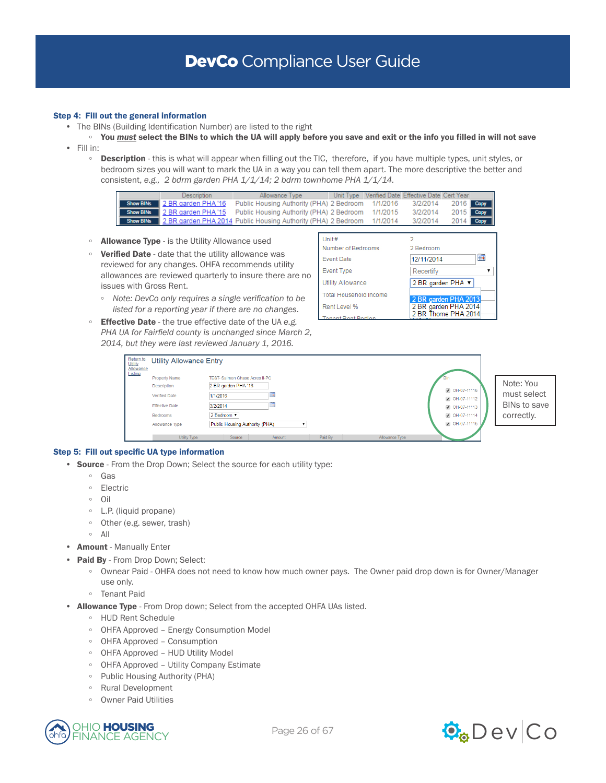# Step 4: Fill out the general information

- The BINs (Building Identification Number) are listed to the right
- You *must* select the BINs to which the UA will apply before you save and exit or the info you filled in will not save • Fill in:
- **Description** this is what will appear when filling out the TIC, therefore, if you have multiple types, unit styles, or bedroom sizes you will want to mark the UA in a way you can tell them apart. The more descriptive the better and consistent, *e.g., 2 bdrm garden PHA 1/1/14; 2 bdrm townhome PHA 1/1/14.*



- Allowance Type is the Utility Allowance used
- Verified Date date that the utility allowance was reviewed for any changes. OHFA recommends utility allowances are reviewed quarterly to insure there are no issues with Gross Rent.

| Unit#                         |                                              |
|-------------------------------|----------------------------------------------|
| Number of Bedrooms            | 2 Bedroom                                    |
| <b>Event Date</b>             | ĦĦ<br>12/11/2014                             |
| <b>Event Type</b>             | Recertify                                    |
| <b>Utility Allowance</b>      | 2 BR garden PHA ▼                            |
| <b>Total Household Income</b> |                                              |
| Rent Level %                  | 2 BR garden PHA 2013<br>2 BR garden PHA 2014 |
| t Pant Portion                | 2 BR Thome PHA 2014                          |

- *Note: DevCo only requires a single verification to be listed for a reporting year if there are no changes.*
- Effective Date the true effective date of the UA *e.g. PHA UA for Fairfield county is unchanged since March 2, 2014, but they were last reviewed January 1, 2016.*

| Return to<br>Utility<br>Allowance<br>Listing | <b>Utility Allowance Entry</b>                                                                                     |                                                                                                                                                |                                                                                 |                                                        |
|----------------------------------------------|--------------------------------------------------------------------------------------------------------------------|------------------------------------------------------------------------------------------------------------------------------------------------|---------------------------------------------------------------------------------|--------------------------------------------------------|
|                                              | <b>Property Name</b><br>Description<br><b>Verified Date</b><br><b>Effective Date</b><br>Bedrooms<br>Allowance Type | TEST- Salmon Chase Acres II-PC<br>2 BR garden PHA '16<br><b>HH</b><br>1/1/2016<br>▦<br>3/2/2014<br>2 Bedroom<br>Public Housing Authority (PHA) | OH-07-11116<br>● OH-07-11112<br>C OH-07-11113<br>● OH-07-11114<br>C OH-07-11115 | Note: You<br>must select<br>BINs to save<br>correctly. |
|                                              | Utility Type                                                                                                       | Paid By<br>Source<br>Allowance Type<br>Amount                                                                                                  |                                                                                 |                                                        |

### Step 5: Fill out specific UA type information

- Source From the Drop Down; Select the source for each utility type:
	- Gas
	- Electric
	- Oil
	- L.P. (liquid propane)
	- Other (e.g. sewer, trash)
	- All
- Amount Manually Enter
- Paid By From Drop Down; Select:
	- Ownear Paid OHFA does not need to know how much owner pays. The Owner paid drop down is for Owner/Manager use only.
	- Tenant Paid
- Allowance Type From Drop down; Select from the accepted OHFA UAs listed.
	- HUD Rent Schedule
	- OHFA Approved Energy Consumption Model
	- OHFA Approved Consumption
	- OHFA Approved HUD Utility Model
	- OHFA Approved Utility Company Estimate
	- Public Housing Authority (PHA)
	- Rural Development
	- Owner Paid Utilities